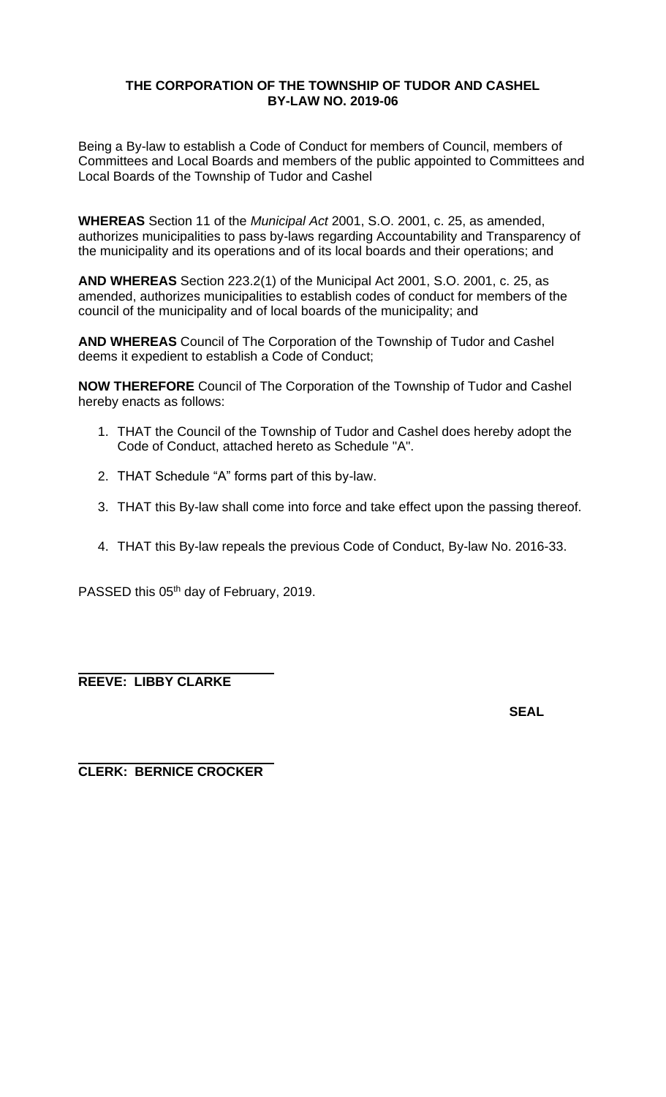### **THE CORPORATION OF THE TOWNSHIP OF TUDOR AND CASHEL BY-LAW NO. 2019-06**

Being a By-law to establish a Code of Conduct for members of Council, members of Committees and Local Boards and members of the public appointed to Committees and Local Boards of the Township of Tudor and Cashel

**WHEREAS** Section 11 of the *Municipal Act* 2001, S.O. 2001, c. 25, as amended, authorizes municipalities to pass by-laws regarding Accountability and Transparency of the municipality and its operations and of its local boards and their operations; and

**AND WHEREAS** Section 223.2(1) of the Municipal Act 2001, S.O. 2001, c. 25, as amended, authorizes municipalities to establish codes of conduct for members of the council of the municipality and of local boards of the municipality; and

**AND WHEREAS** Council of The Corporation of the Township of Tudor and Cashel deems it expedient to establish a Code of Conduct;

**NOW THEREFORE** Council of The Corporation of the Township of Tudor and Cashel hereby enacts as follows:

- 1. THAT the Council of the Township of Tudor and Cashel does hereby adopt the Code of Conduct, attached hereto as Schedule "A".
- 2. THAT Schedule "A" forms part of this by-law.
- 3. THAT this By-law shall come into force and take effect upon the passing thereof.
- 4. THAT this By-law repeals the previous Code of Conduct, By-law No. 2016-33.

PASSED this 05<sup>th</sup> day of February, 2019.

**REEVE: LIBBY CLARKE**

**SEAL**

**CLERK: BERNICE CROCKER**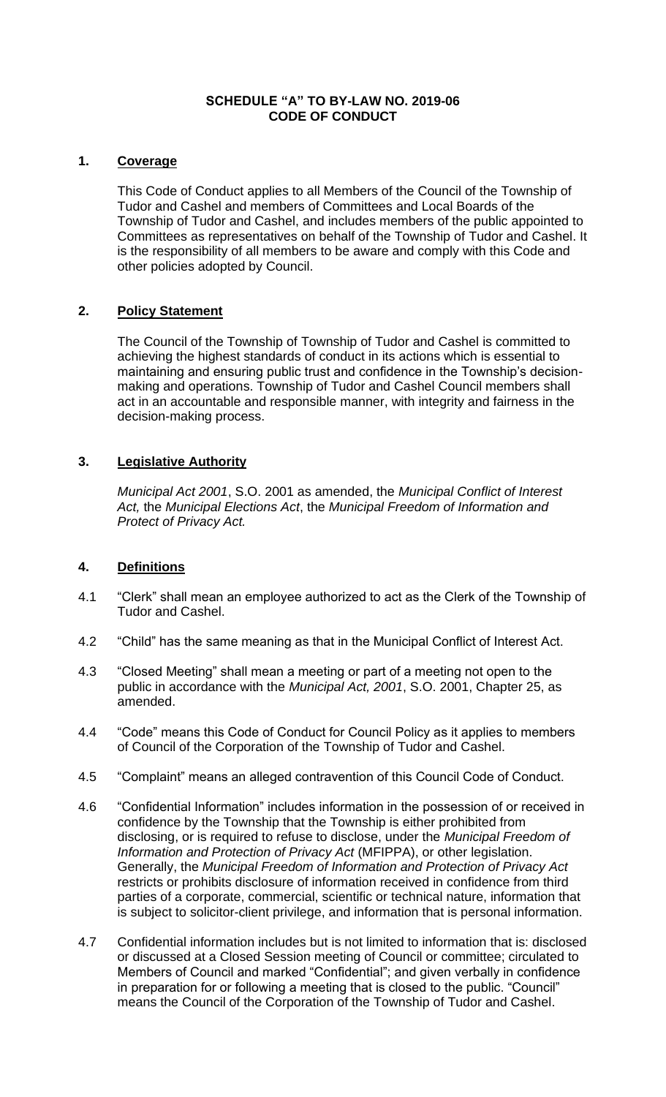### **SCHEDULE "A" TO BY-LAW NO. 2019-06 CODE OF CONDUCT**

### **1. Coverage**

This Code of Conduct applies to all Members of the Council of the Township of Tudor and Cashel and members of Committees and Local Boards of the Township of Tudor and Cashel, and includes members of the public appointed to Committees as representatives on behalf of the Township of Tudor and Cashel. It is the responsibility of all members to be aware and comply with this Code and other policies adopted by Council.

### **2. Policy Statement**

The Council of the Township of Township of Tudor and Cashel is committed to achieving the highest standards of conduct in its actions which is essential to maintaining and ensuring public trust and confidence in the Township's decisionmaking and operations. Township of Tudor and Cashel Council members shall act in an accountable and responsible manner, with integrity and fairness in the decision-making process.

## **3. Legislative Authority**

*Municipal Act 2001*, S.O. 2001 as amended, the *Municipal Conflict of Interest Act,* the *Municipal Elections Act*, the *Municipal Freedom of Information and Protect of Privacy Act.*

## **4. Definitions**

- 4.1 "Clerk" shall mean an employee authorized to act as the Clerk of the Township of Tudor and Cashel.
- 4.2 "Child" has the same meaning as that in the Municipal Conflict of Interest Act.
- 4.3 "Closed Meeting" shall mean a meeting or part of a meeting not open to the public in accordance with the *Municipal Act, 2001*, S.O. 2001, Chapter 25, as amended.
- 4.4 "Code" means this Code of Conduct for Council Policy as it applies to members of Council of the Corporation of the Township of Tudor and Cashel.
- 4.5 "Complaint" means an alleged contravention of this Council Code of Conduct.
- 4.6 "Confidential Information" includes information in the possession of or received in confidence by the Township that the Township is either prohibited from disclosing, or is required to refuse to disclose, under the *Municipal Freedom of Information and Protection of Privacy Act* (MFIPPA), or other legislation. Generally, the *Municipal Freedom of Information and Protection of Privacy Act* restricts or prohibits disclosure of information received in confidence from third parties of a corporate, commercial, scientific or technical nature, information that is subject to solicitor-client privilege, and information that is personal information.
- 4.7 Confidential information includes but is not limited to information that is: disclosed or discussed at a Closed Session meeting of Council or committee; circulated to Members of Council and marked "Confidential"; and given verbally in confidence in preparation for or following a meeting that is closed to the public. "Council" means the Council of the Corporation of the Township of Tudor and Cashel.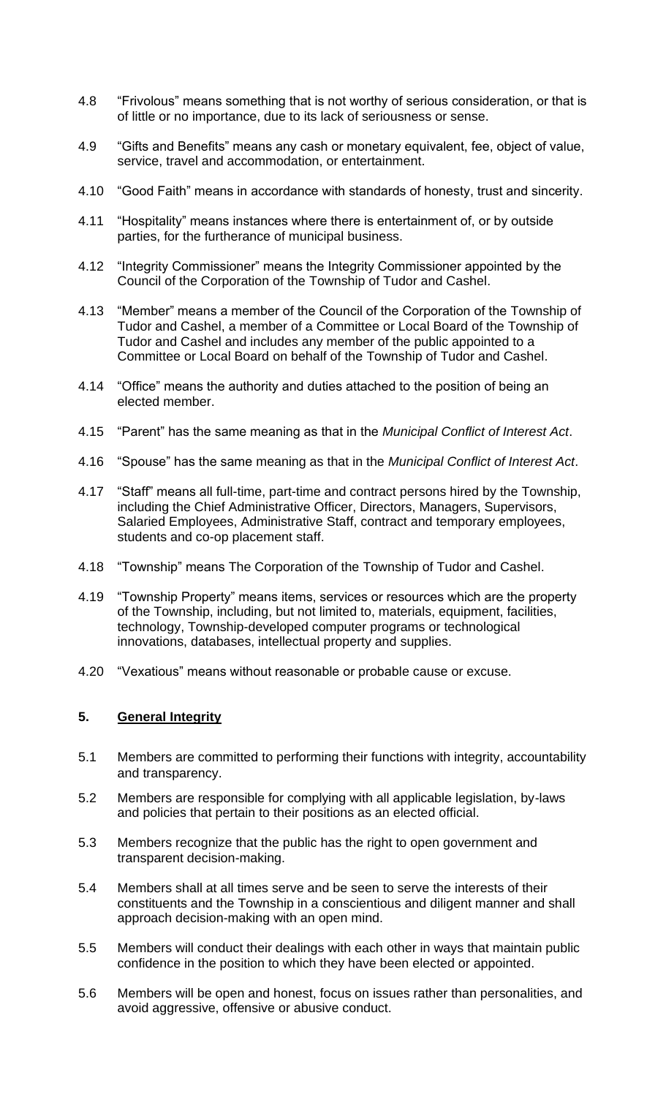- 4.8 "Frivolous" means something that is not worthy of serious consideration, or that is of little or no importance, due to its lack of seriousness or sense.
- 4.9 "Gifts and Benefits" means any cash or monetary equivalent, fee, object of value, service, travel and accommodation, or entertainment.
- 4.10 "Good Faith" means in accordance with standards of honesty, trust and sincerity.
- 4.11 "Hospitality" means instances where there is entertainment of, or by outside parties, for the furtherance of municipal business.
- 4.12 "Integrity Commissioner" means the Integrity Commissioner appointed by the Council of the Corporation of the Township of Tudor and Cashel.
- 4.13 "Member" means a member of the Council of the Corporation of the Township of Tudor and Cashel, a member of a Committee or Local Board of the Township of Tudor and Cashel and includes any member of the public appointed to a Committee or Local Board on behalf of the Township of Tudor and Cashel.
- 4.14 "Office" means the authority and duties attached to the position of being an elected member.
- 4.15 "Parent" has the same meaning as that in the *Municipal Conflict of Interest Act*.
- 4.16 "Spouse" has the same meaning as that in the *Municipal Conflict of Interest Act*.
- 4.17 "Staff" means all full-time, part-time and contract persons hired by the Township, including the Chief Administrative Officer, Directors, Managers, Supervisors, Salaried Employees, Administrative Staff, contract and temporary employees, students and co-op placement staff.
- 4.18 "Township" means The Corporation of the Township of Tudor and Cashel.
- 4.19 "Township Property" means items, services or resources which are the property of the Township, including, but not limited to, materials, equipment, facilities, technology, Township-developed computer programs or technological innovations, databases, intellectual property and supplies.
- 4.20 "Vexatious" means without reasonable or probable cause or excuse.

## **5. General Integrity**

- 5.1 Members are committed to performing their functions with integrity, accountability and transparency.
- 5.2 Members are responsible for complying with all applicable legislation, by-laws and policies that pertain to their positions as an elected official.
- 5.3 Members recognize that the public has the right to open government and transparent decision-making.
- 5.4 Members shall at all times serve and be seen to serve the interests of their constituents and the Township in a conscientious and diligent manner and shall approach decision-making with an open mind.
- 5.5 Members will conduct their dealings with each other in ways that maintain public confidence in the position to which they have been elected or appointed.
- 5.6 Members will be open and honest, focus on issues rather than personalities, and avoid aggressive, offensive or abusive conduct.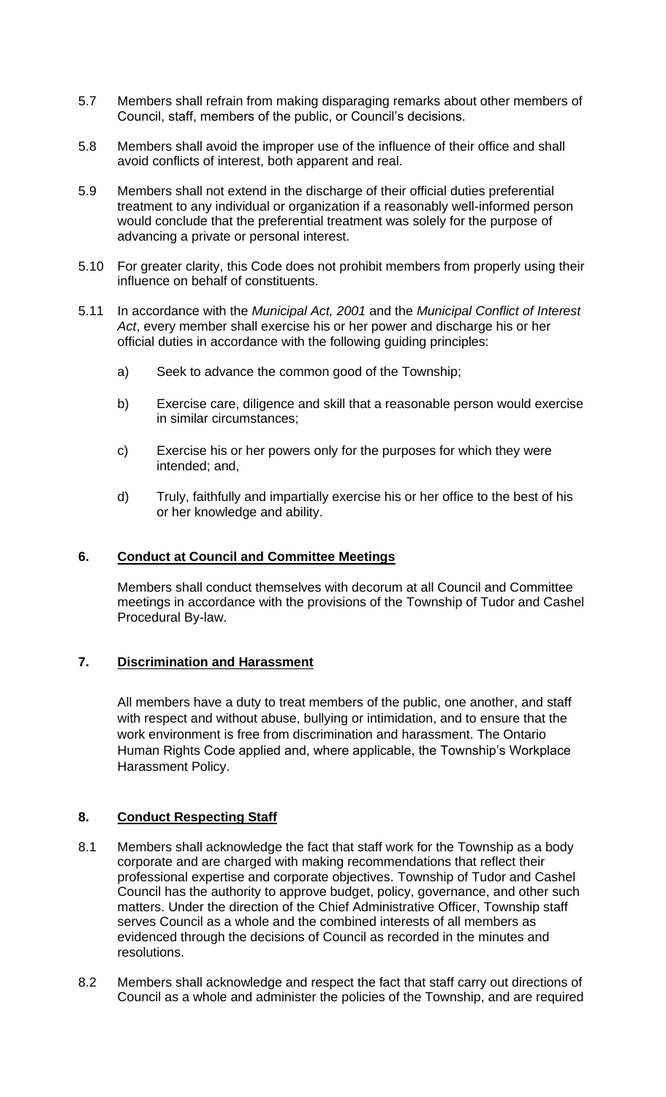- 5.7 Members shall refrain from making disparaging remarks about other members of Council, staff, members of the public, or Council's decisions.
- 5.8 Members shall avoid the improper use of the influence of their office and shall avoid conflicts of interest, both apparent and real.
- 5.9 Members shall not extend in the discharge of their official duties preferential treatment to any individual or organization if a reasonably well-informed person would conclude that the preferential treatment was solely for the purpose of advancing a private or personal interest.
- 5.10 For greater clarity, this Code does not prohibit members from properly using their influence on behalf of constituents.
- 5.11 In accordance with the *Municipal Act, 2001* and the *Municipal Conflict of Interest Act*, every member shall exercise his or her power and discharge his or her official duties in accordance with the following guiding principles:
	- a) Seek to advance the common good of the Township;
	- b) Exercise care, diligence and skill that a reasonable person would exercise in similar circumstances;
	- c) Exercise his or her powers only for the purposes for which they were intended; and,
	- d) Truly, faithfully and impartially exercise his or her office to the best of his or her knowledge and ability.

## **6. Conduct at Council and Committee Meetings**

Members shall conduct themselves with decorum at all Council and Committee meetings in accordance with the provisions of the Township of Tudor and Cashel Procedural By-law.

## **7. Discrimination and Harassment**

All members have a duty to treat members of the public, one another, and staff with respect and without abuse, bullying or intimidation, and to ensure that the work environment is free from discrimination and harassment. The Ontario Human Rights Code applied and, where applicable, the Township's Workplace Harassment Policy.

## **8. Conduct Respecting Staff**

- 8.1 Members shall acknowledge the fact that staff work for the Township as a body corporate and are charged with making recommendations that reflect their professional expertise and corporate objectives. Township of Tudor and Cashel Council has the authority to approve budget, policy, governance, and other such matters. Under the direction of the Chief Administrative Officer, Township staff serves Council as a whole and the combined interests of all members as evidenced through the decisions of Council as recorded in the minutes and resolutions.
- 8.2 Members shall acknowledge and respect the fact that staff carry out directions of Council as a whole and administer the policies of the Township, and are required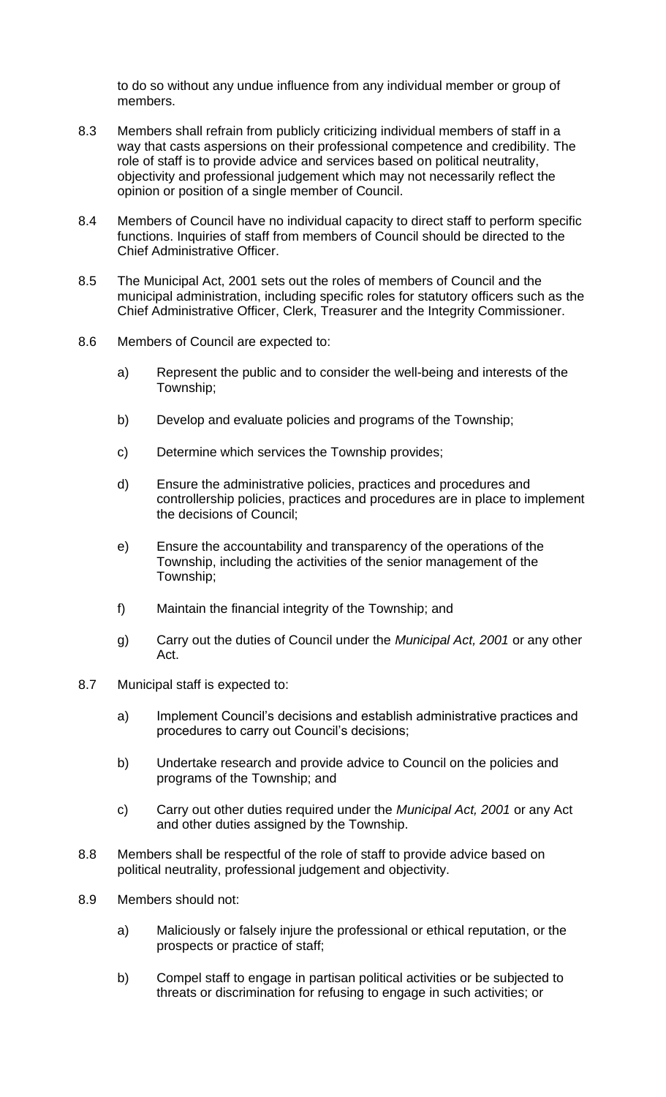to do so without any undue influence from any individual member or group of members.

- 8.3 Members shall refrain from publicly criticizing individual members of staff in a way that casts aspersions on their professional competence and credibility. The role of staff is to provide advice and services based on political neutrality, objectivity and professional judgement which may not necessarily reflect the opinion or position of a single member of Council.
- 8.4 Members of Council have no individual capacity to direct staff to perform specific functions. Inquiries of staff from members of Council should be directed to the Chief Administrative Officer.
- 8.5 The Municipal Act, 2001 sets out the roles of members of Council and the municipal administration, including specific roles for statutory officers such as the Chief Administrative Officer, Clerk, Treasurer and the Integrity Commissioner.
- 8.6 Members of Council are expected to:
	- a) Represent the public and to consider the well-being and interests of the Township;
	- b) Develop and evaluate policies and programs of the Township;
	- c) Determine which services the Township provides;
	- d) Ensure the administrative policies, practices and procedures and controllership policies, practices and procedures are in place to implement the decisions of Council;
	- e) Ensure the accountability and transparency of the operations of the Township, including the activities of the senior management of the Township;
	- f) Maintain the financial integrity of the Township; and
	- g) Carry out the duties of Council under the *Municipal Act, 2001* or any other Act.
- 8.7 Municipal staff is expected to:
	- a) Implement Council's decisions and establish administrative practices and procedures to carry out Council's decisions;
	- b) Undertake research and provide advice to Council on the policies and programs of the Township; and
	- c) Carry out other duties required under the *Municipal Act, 2001* or any Act and other duties assigned by the Township.
- 8.8 Members shall be respectful of the role of staff to provide advice based on political neutrality, professional judgement and objectivity.
- 8.9 Members should not:
	- a) Maliciously or falsely injure the professional or ethical reputation, or the prospects or practice of staff;
	- b) Compel staff to engage in partisan political activities or be subjected to threats or discrimination for refusing to engage in such activities; or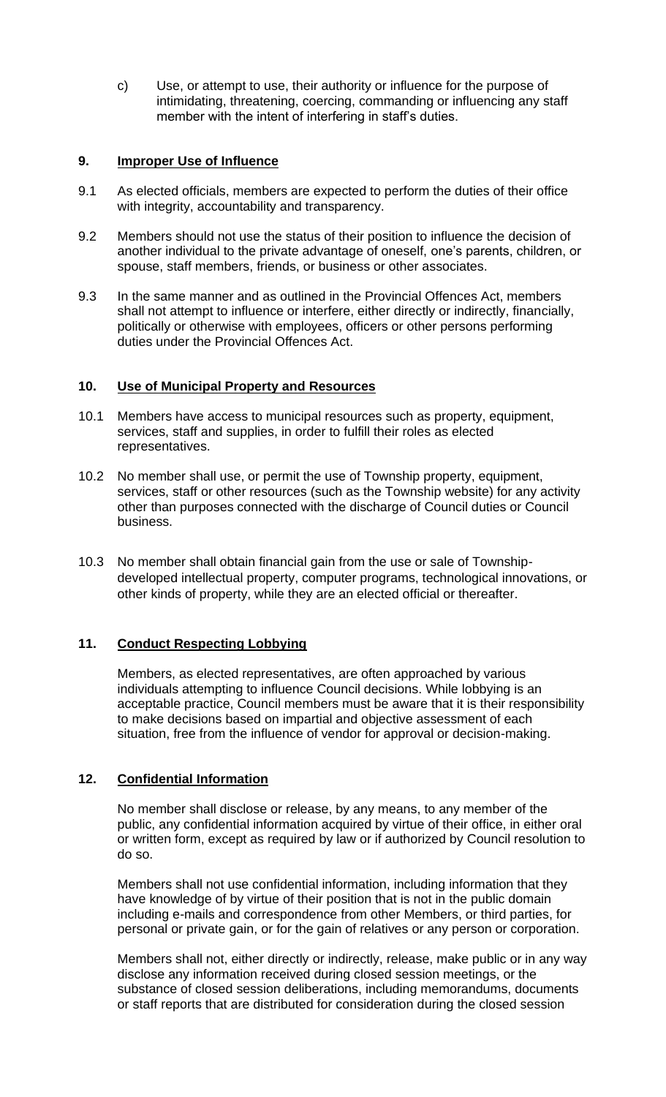c) Use, or attempt to use, their authority or influence for the purpose of intimidating, threatening, coercing, commanding or influencing any staff member with the intent of interfering in staff's duties.

### **9. Improper Use of Influence**

- 9.1 As elected officials, members are expected to perform the duties of their office with integrity, accountability and transparency.
- 9.2 Members should not use the status of their position to influence the decision of another individual to the private advantage of oneself, one's parents, children, or spouse, staff members, friends, or business or other associates.
- 9.3 In the same manner and as outlined in the Provincial Offences Act, members shall not attempt to influence or interfere, either directly or indirectly, financially, politically or otherwise with employees, officers or other persons performing duties under the Provincial Offences Act.

## **10. Use of Municipal Property and Resources**

- 10.1 Members have access to municipal resources such as property, equipment, services, staff and supplies, in order to fulfill their roles as elected representatives.
- 10.2 No member shall use, or permit the use of Township property, equipment, services, staff or other resources (such as the Township website) for any activity other than purposes connected with the discharge of Council duties or Council business.
- 10.3 No member shall obtain financial gain from the use or sale of Townshipdeveloped intellectual property, computer programs, technological innovations, or other kinds of property, while they are an elected official or thereafter.

## **11. Conduct Respecting Lobbying**

Members, as elected representatives, are often approached by various individuals attempting to influence Council decisions. While lobbying is an acceptable practice, Council members must be aware that it is their responsibility to make decisions based on impartial and objective assessment of each situation, free from the influence of vendor for approval or decision-making.

## **12. Confidential Information**

No member shall disclose or release, by any means, to any member of the public, any confidential information acquired by virtue of their office, in either oral or written form, except as required by law or if authorized by Council resolution to do so.

Members shall not use confidential information, including information that they have knowledge of by virtue of their position that is not in the public domain including e-mails and correspondence from other Members, or third parties, for personal or private gain, or for the gain of relatives or any person or corporation.

Members shall not, either directly or indirectly, release, make public or in any way disclose any information received during closed session meetings, or the substance of closed session deliberations, including memorandums, documents or staff reports that are distributed for consideration during the closed session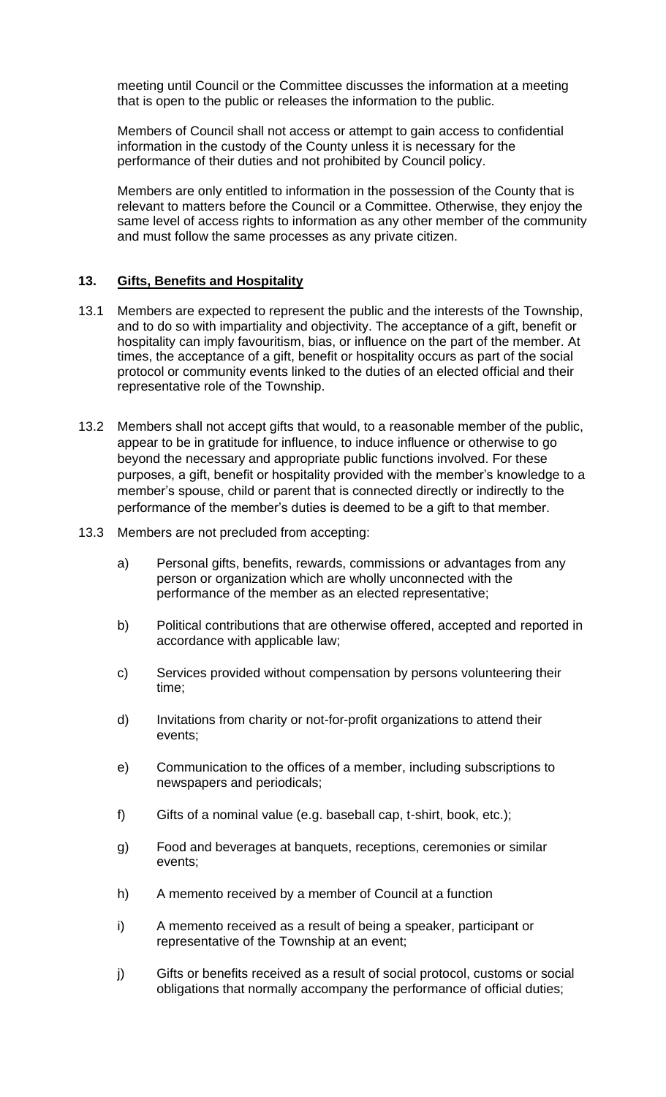meeting until Council or the Committee discusses the information at a meeting that is open to the public or releases the information to the public.

Members of Council shall not access or attempt to gain access to confidential information in the custody of the County unless it is necessary for the performance of their duties and not prohibited by Council policy.

Members are only entitled to information in the possession of the County that is relevant to matters before the Council or a Committee. Otherwise, they enjoy the same level of access rights to information as any other member of the community and must follow the same processes as any private citizen.

### **13. Gifts, Benefits and Hospitality**

- 13.1 Members are expected to represent the public and the interests of the Township, and to do so with impartiality and objectivity. The acceptance of a gift, benefit or hospitality can imply favouritism, bias, or influence on the part of the member. At times, the acceptance of a gift, benefit or hospitality occurs as part of the social protocol or community events linked to the duties of an elected official and their representative role of the Township.
- 13.2 Members shall not accept gifts that would, to a reasonable member of the public, appear to be in gratitude for influence, to induce influence or otherwise to go beyond the necessary and appropriate public functions involved. For these purposes, a gift, benefit or hospitality provided with the member's knowledge to a member's spouse, child or parent that is connected directly or indirectly to the performance of the member's duties is deemed to be a gift to that member.
- 13.3 Members are not precluded from accepting:
	- a) Personal gifts, benefits, rewards, commissions or advantages from any person or organization which are wholly unconnected with the performance of the member as an elected representative;
	- b) Political contributions that are otherwise offered, accepted and reported in accordance with applicable law;
	- c) Services provided without compensation by persons volunteering their time;
	- d) Invitations from charity or not-for-profit organizations to attend their events;
	- e) Communication to the offices of a member, including subscriptions to newspapers and periodicals;
	- f) Gifts of a nominal value (e.g. baseball cap, t-shirt, book, etc.);
	- g) Food and beverages at banquets, receptions, ceremonies or similar events;
	- h) A memento received by a member of Council at a function
	- i) A memento received as a result of being a speaker, participant or representative of the Township at an event;
	- j) Gifts or benefits received as a result of social protocol, customs or social obligations that normally accompany the performance of official duties;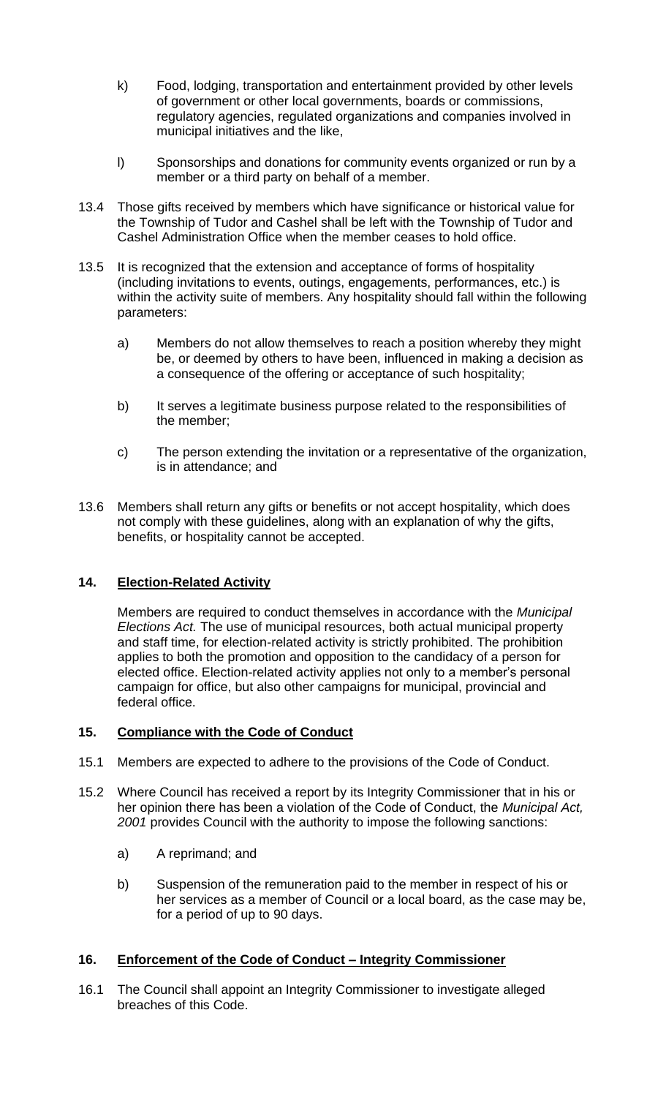- k) Food, lodging, transportation and entertainment provided by other levels of government or other local governments, boards or commissions, regulatory agencies, regulated organizations and companies involved in municipal initiatives and the like,
- l) Sponsorships and donations for community events organized or run by a member or a third party on behalf of a member.
- 13.4 Those gifts received by members which have significance or historical value for the Township of Tudor and Cashel shall be left with the Township of Tudor and Cashel Administration Office when the member ceases to hold office.
- 13.5 It is recognized that the extension and acceptance of forms of hospitality (including invitations to events, outings, engagements, performances, etc.) is within the activity suite of members. Any hospitality should fall within the following parameters:
	- a) Members do not allow themselves to reach a position whereby they might be, or deemed by others to have been, influenced in making a decision as a consequence of the offering or acceptance of such hospitality;
	- b) It serves a legitimate business purpose related to the responsibilities of the member;
	- c) The person extending the invitation or a representative of the organization, is in attendance; and
- 13.6 Members shall return any gifts or benefits or not accept hospitality, which does not comply with these guidelines, along with an explanation of why the gifts, benefits, or hospitality cannot be accepted.

# **14. Election-Related Activity**

Members are required to conduct themselves in accordance with the *Municipal Elections Act.* The use of municipal resources, both actual municipal property and staff time, for election-related activity is strictly prohibited. The prohibition applies to both the promotion and opposition to the candidacy of a person for elected office. Election-related activity applies not only to a member's personal campaign for office, but also other campaigns for municipal, provincial and federal office.

## **15. Compliance with the Code of Conduct**

- 15.1 Members are expected to adhere to the provisions of the Code of Conduct.
- 15.2 Where Council has received a report by its Integrity Commissioner that in his or her opinion there has been a violation of the Code of Conduct, the *Municipal Act, 2001* provides Council with the authority to impose the following sanctions:
	- a) A reprimand; and
	- b) Suspension of the remuneration paid to the member in respect of his or her services as a member of Council or a local board, as the case may be, for a period of up to 90 days.

## **16. Enforcement of the Code of Conduct – Integrity Commissioner**

16.1 The Council shall appoint an Integrity Commissioner to investigate alleged breaches of this Code.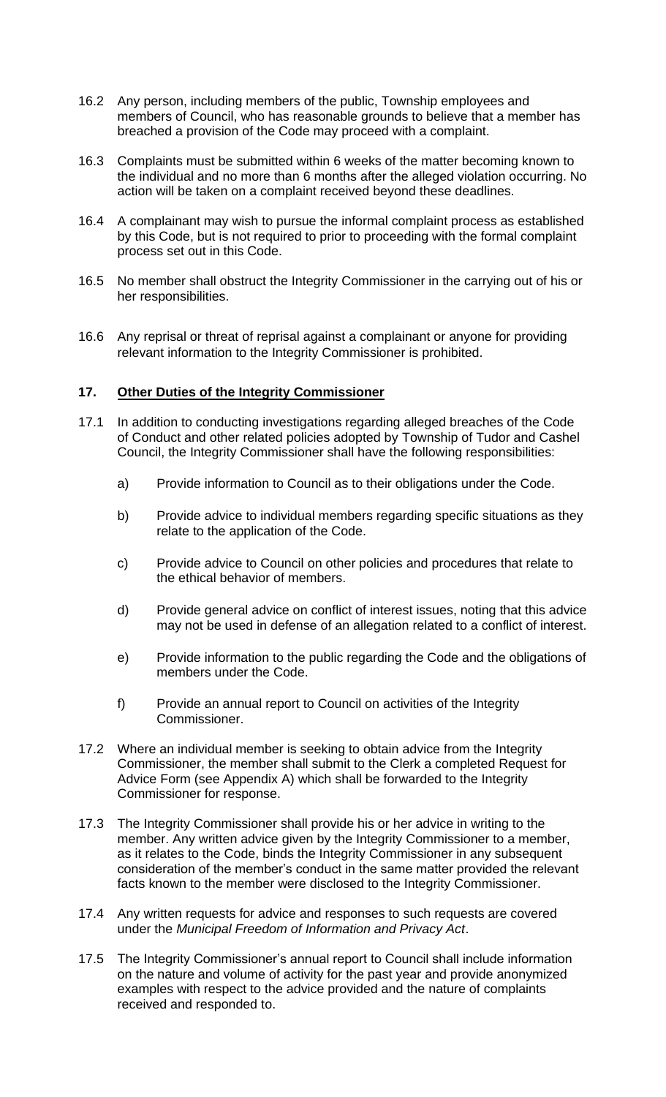- 16.2 Any person, including members of the public, Township employees and members of Council, who has reasonable grounds to believe that a member has breached a provision of the Code may proceed with a complaint.
- 16.3 Complaints must be submitted within 6 weeks of the matter becoming known to the individual and no more than 6 months after the alleged violation occurring. No action will be taken on a complaint received beyond these deadlines.
- 16.4 A complainant may wish to pursue the informal complaint process as established by this Code, but is not required to prior to proceeding with the formal complaint process set out in this Code.
- 16.5 No member shall obstruct the Integrity Commissioner in the carrying out of his or her responsibilities.
- 16.6 Any reprisal or threat of reprisal against a complainant or anyone for providing relevant information to the Integrity Commissioner is prohibited.

## **17. Other Duties of the Integrity Commissioner**

- 17.1 In addition to conducting investigations regarding alleged breaches of the Code of Conduct and other related policies adopted by Township of Tudor and Cashel Council, the Integrity Commissioner shall have the following responsibilities:
	- a) Provide information to Council as to their obligations under the Code.
	- b) Provide advice to individual members regarding specific situations as they relate to the application of the Code.
	- c) Provide advice to Council on other policies and procedures that relate to the ethical behavior of members.
	- d) Provide general advice on conflict of interest issues, noting that this advice may not be used in defense of an allegation related to a conflict of interest.
	- e) Provide information to the public regarding the Code and the obligations of members under the Code.
	- f) Provide an annual report to Council on activities of the Integrity Commissioner.
- 17.2 Where an individual member is seeking to obtain advice from the Integrity Commissioner, the member shall submit to the Clerk a completed Request for Advice Form (see Appendix A) which shall be forwarded to the Integrity Commissioner for response.
- 17.3 The Integrity Commissioner shall provide his or her advice in writing to the member. Any written advice given by the Integrity Commissioner to a member, as it relates to the Code, binds the Integrity Commissioner in any subsequent consideration of the member's conduct in the same matter provided the relevant facts known to the member were disclosed to the Integrity Commissioner.
- 17.4 Any written requests for advice and responses to such requests are covered under the *Municipal Freedom of Information and Privacy Act*.
- 17.5 The Integrity Commissioner's annual report to Council shall include information on the nature and volume of activity for the past year and provide anonymized examples with respect to the advice provided and the nature of complaints received and responded to.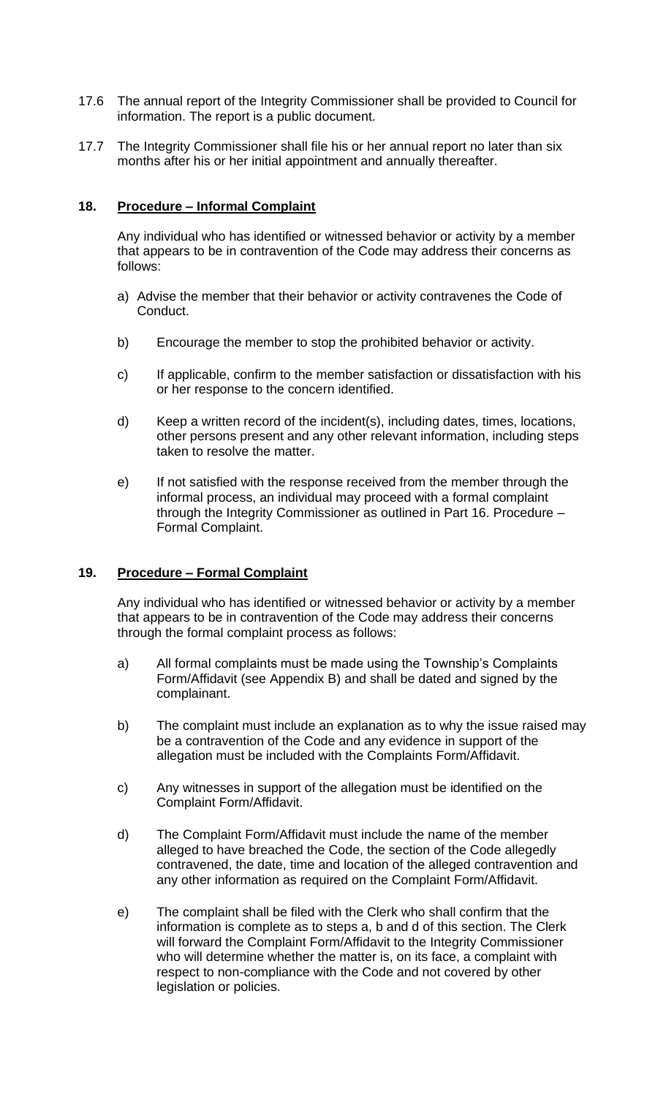- 17.6 The annual report of the Integrity Commissioner shall be provided to Council for information. The report is a public document.
- 17.7 The Integrity Commissioner shall file his or her annual report no later than six months after his or her initial appointment and annually thereafter.

## **18. Procedure – Informal Complaint**

Any individual who has identified or witnessed behavior or activity by a member that appears to be in contravention of the Code may address their concerns as follows:

- a) Advise the member that their behavior or activity contravenes the Code of Conduct.
- b) Encourage the member to stop the prohibited behavior or activity.
- c) If applicable, confirm to the member satisfaction or dissatisfaction with his or her response to the concern identified.
- d) Keep a written record of the incident(s), including dates, times, locations, other persons present and any other relevant information, including steps taken to resolve the matter.
- e) If not satisfied with the response received from the member through the informal process, an individual may proceed with a formal complaint through the Integrity Commissioner as outlined in Part 16. Procedure – Formal Complaint.

## **19. Procedure – Formal Complaint**

Any individual who has identified or witnessed behavior or activity by a member that appears to be in contravention of the Code may address their concerns through the formal complaint process as follows:

- a) All formal complaints must be made using the Township's Complaints Form/Affidavit (see Appendix B) and shall be dated and signed by the complainant.
- b) The complaint must include an explanation as to why the issue raised may be a contravention of the Code and any evidence in support of the allegation must be included with the Complaints Form/Affidavit.
- c) Any witnesses in support of the allegation must be identified on the Complaint Form/Affidavit.
- d) The Complaint Form/Affidavit must include the name of the member alleged to have breached the Code, the section of the Code allegedly contravened, the date, time and location of the alleged contravention and any other information as required on the Complaint Form/Affidavit.
- e) The complaint shall be filed with the Clerk who shall confirm that the information is complete as to steps a, b and d of this section. The Clerk will forward the Complaint Form/Affidavit to the Integrity Commissioner who will determine whether the matter is, on its face, a complaint with respect to non-compliance with the Code and not covered by other legislation or policies.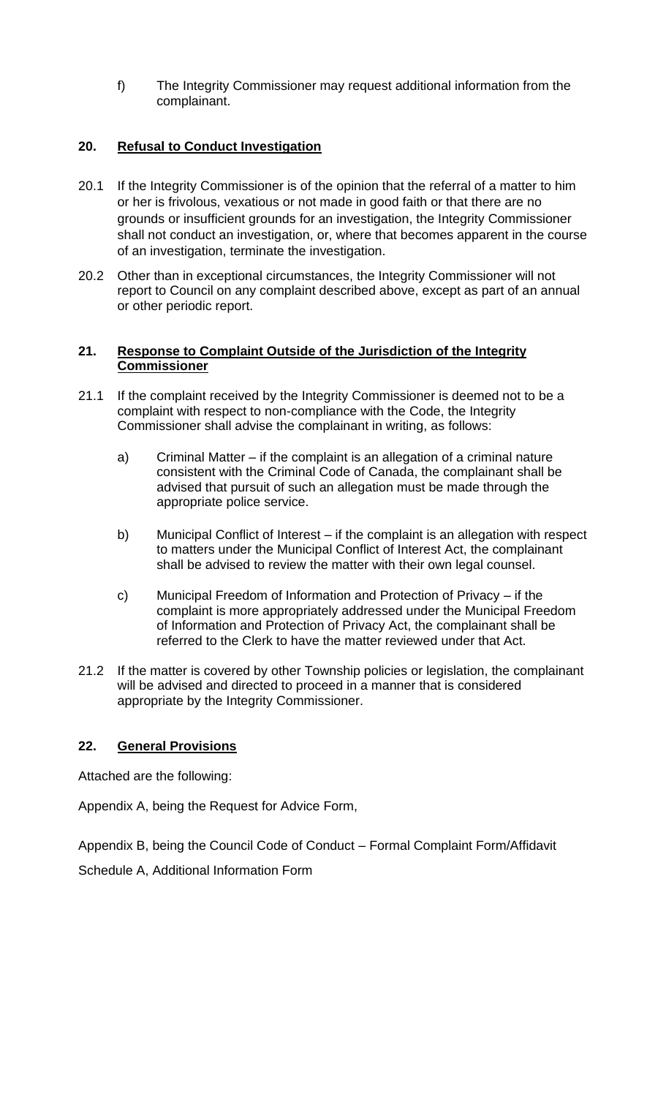f) The Integrity Commissioner may request additional information from the complainant.

## **20. Refusal to Conduct Investigation**

- 20.1 If the Integrity Commissioner is of the opinion that the referral of a matter to him or her is frivolous, vexatious or not made in good faith or that there are no grounds or insufficient grounds for an investigation, the Integrity Commissioner shall not conduct an investigation, or, where that becomes apparent in the course of an investigation, terminate the investigation.
- 20.2 Other than in exceptional circumstances, the Integrity Commissioner will not report to Council on any complaint described above, except as part of an annual or other periodic report.

### **21. Response to Complaint Outside of the Jurisdiction of the Integrity Commissioner**

- 21.1 If the complaint received by the Integrity Commissioner is deemed not to be a complaint with respect to non-compliance with the Code, the Integrity Commissioner shall advise the complainant in writing, as follows:
	- a) Criminal Matter if the complaint is an allegation of a criminal nature consistent with the Criminal Code of Canada, the complainant shall be advised that pursuit of such an allegation must be made through the appropriate police service.
	- b) Municipal Conflict of Interest if the complaint is an allegation with respect to matters under the Municipal Conflict of Interest Act, the complainant shall be advised to review the matter with their own legal counsel.
	- c) Municipal Freedom of Information and Protection of Privacy if the complaint is more appropriately addressed under the Municipal Freedom of Information and Protection of Privacy Act, the complainant shall be referred to the Clerk to have the matter reviewed under that Act.
- 21.2 If the matter is covered by other Township policies or legislation, the complainant will be advised and directed to proceed in a manner that is considered appropriate by the Integrity Commissioner.

## **22. General Provisions**

Attached are the following:

Appendix A, being the Request for Advice Form,

Appendix B, being the Council Code of Conduct – Formal Complaint Form/Affidavit Schedule A, Additional Information Form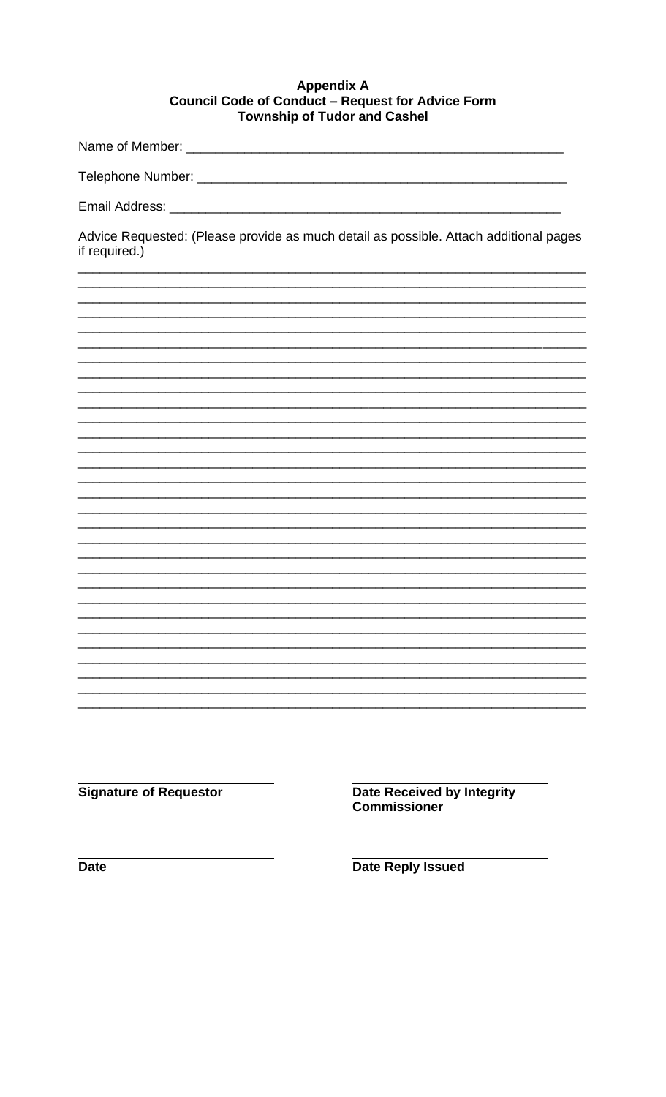#### **Appendix A** Council Code of Conduct - Request for Advice Form **Township of Tudor and Cashel**

Name of Member: \_

Email Address: Universe Press, 2008. Email Address: 2008. Email: 2008. Email: 2008. Email: 2008. Email: 2008.

Advice Requested: (Please provide as much detail as possible. Attach additional pages if required.)

**Signature of Requestor** 

**Date Received by Integrity Commissioner** 

**Date** 

**Date Reply Issued**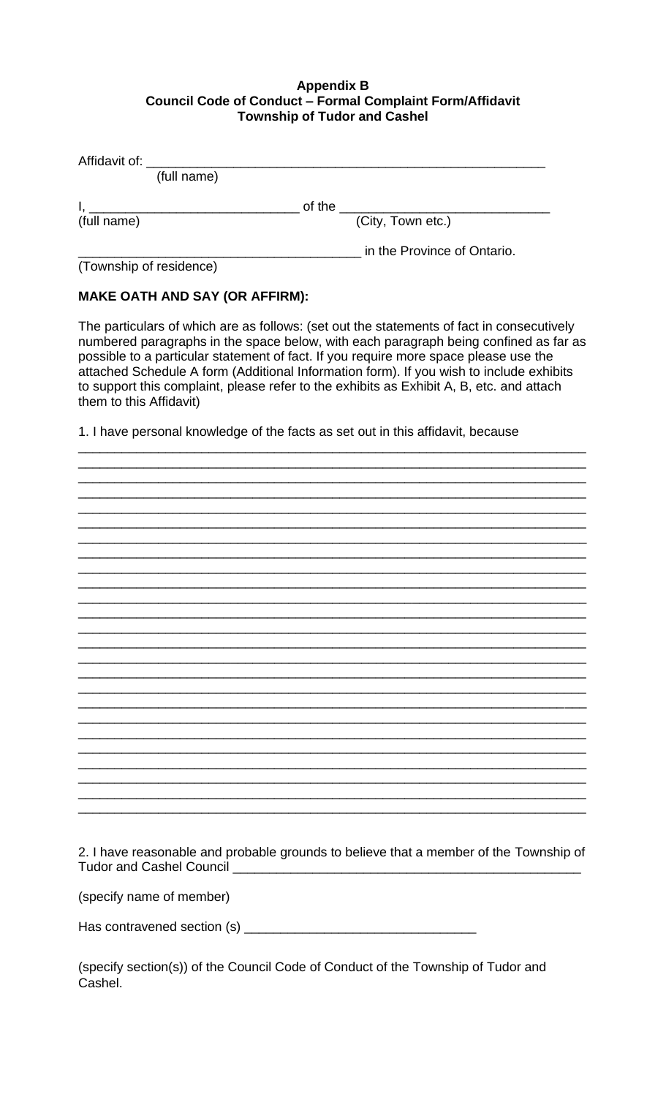#### **Appendix B Council Code of Conduct - Formal Complaint Form/Affidavit Township of Tudor and Cashel**

| Affidavit of: __ |             |        |                             |  |
|------------------|-------------|--------|-----------------------------|--|
|                  | (full name) |        |                             |  |
|                  |             | of the |                             |  |
| (full name)      |             |        | (City, Town etc.)           |  |
|                  |             |        | in the Province of Ontario. |  |

(Township of residence)

### **MAKE OATH AND SAY (OR AFFIRM):**

The particulars of which are as follows: (set out the statements of fact in consecutively numbered paragraphs in the space below, with each paragraph being confined as far as possible to a particular statement of fact. If you require more space please use the attached Schedule A form (Additional Information form). If you wish to include exhibits to support this complaint, please refer to the exhibits as Exhibit A, B, etc. and attach them to this Affidavit)

1. I have personal knowledge of the facts as set out in this affidavit, because

| 2. I have reasonable and probable grounds to believe that a member of the Township of |
|---------------------------------------------------------------------------------------|
| Tudor and Cashel Council                                                              |
|                                                                                       |

(specify name of member)

(specify section(s)) of the Council Code of Conduct of the Township of Tudor and Cashel.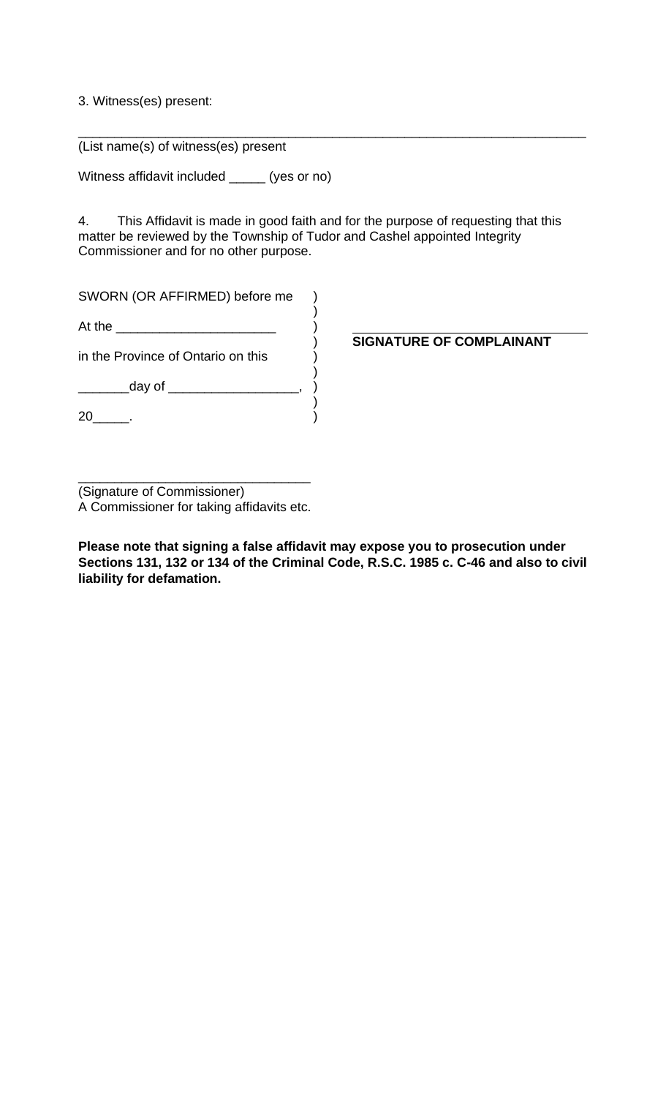## 3. Witness(es) present:

(List name(s) of witness(es) present

Witness affidavit included \_\_\_\_\_ (yes or no)

4. This Affidavit is made in good faith and for the purpose of requesting that this matter be reviewed by the Township of Tudor and Cashel appointed Integrity Commissioner and for no other purpose.

)<br>)<br>)

)

)

\_\_\_\_\_\_\_\_\_\_\_\_\_\_\_\_\_\_\_\_\_\_\_\_\_\_\_\_\_\_\_\_\_\_\_\_\_\_\_\_\_\_\_\_\_\_\_\_\_\_\_\_\_\_\_\_\_\_\_\_\_\_\_\_\_\_\_\_\_\_

SWORN (OR AFFIRMED) before me )

At the \_\_\_\_\_\_\_\_\_\_\_\_\_\_\_\_\_\_\_\_\_\_ )

in the Province of Ontario on this  $\overrightarrow{\hspace{1cm}}$ 

\_\_\_\_\_\_\_\_\_\_day of \_\_\_\_\_\_\_\_\_\_\_\_\_\_\_\_\_\_\_\_\_, )

 $20$  (20

) **SIGNATURE OF COMPLAINANT**

\_\_\_\_\_\_\_\_\_\_\_\_\_\_\_\_\_\_\_\_\_\_\_\_\_\_\_\_\_\_\_\_ (Signature of Commissioner) A Commissioner for taking affidavits etc.

**Please note that signing a false affidavit may expose you to prosecution under Sections 131, 132 or 134 of the Criminal Code, R.S.C. 1985 c. C-46 and also to civil liability for defamation.**